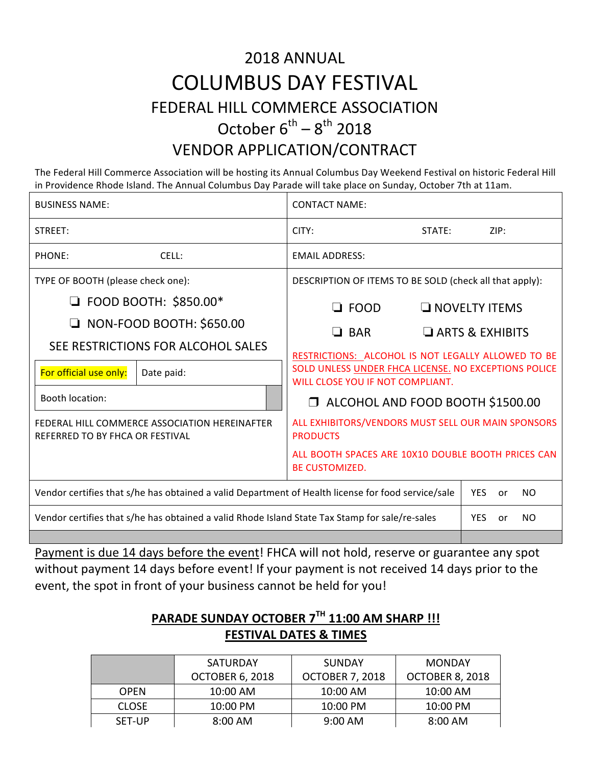# 2018 ANNUAL COLUMBUS DAY FESTIVAL FEDERAL HILL COMMERCE ASSOCIATION October  $6^{th} - 8^{th}$  2018

### VENDOR APPLICATION/CONTRACT

The Federal Hill Commerce Association will be hosting its Annual Columbus Day Weekend Festival on historic Federal Hill in Providence Rhode Island. The Annual Columbus Day Parade will take place on Sunday, October 7th at 11am.

| <b>BUSINESS NAME:</b>                                                                                                                                                      | <b>CONTACT NAME:</b>                                                                                                                                                                                                   |                                                |
|----------------------------------------------------------------------------------------------------------------------------------------------------------------------------|------------------------------------------------------------------------------------------------------------------------------------------------------------------------------------------------------------------------|------------------------------------------------|
| STREET:                                                                                                                                                                    | CITY:<br>STATE:                                                                                                                                                                                                        | ZIP:                                           |
| CELL:<br>PHONE:                                                                                                                                                            | <b>EMAIL ADDRESS:</b>                                                                                                                                                                                                  |                                                |
| TYPE OF BOOTH (please check one):                                                                                                                                          | DESCRIPTION OF ITEMS TO BE SOLD (check all that apply):                                                                                                                                                                |                                                |
| $\Box$ FOOD BOOTH: \$850.00*<br>NON-FOOD BOOTH: \$650.00<br>$\Box$<br>SEE RESTRICTIONS FOR ALCOHOL SALES<br>For official use only:<br>Date paid:<br><b>Booth location:</b> | $\Box$ FOOD<br>$\Box$ BAR<br>RESTRICTIONS: ALCOHOL IS NOT LEGALLY ALLOWED TO BE<br>SOLD UNLESS UNDER FHCA LICENSE. NO EXCEPTIONS POLICE<br>WILL CLOSE YOU IF NOT COMPLIANT.<br>$\Box$ ALCOHOL AND FOOD BOOTH \$1500.00 | $\Box$ NOVELTY ITEMS<br>$\Box$ ARTS & EXHIBITS |
| FEDERAL HILL COMMERCE ASSOCIATION HEREINAFTER<br>REFERRED TO BY FHCA OR FESTIVAL                                                                                           | ALL EXHIBITORS/VENDORS MUST SELL OUR MAIN SPONSORS<br><b>PRODUCTS</b><br>ALL BOOTH SPACES ARE 10X10 DOUBLE BOOTH PRICES CAN<br><b>BE CUSTOMIZED.</b>                                                                   |                                                |
| Vendor certifies that s/he has obtained a valid Department of Health license for food service/sale                                                                         |                                                                                                                                                                                                                        | YES.<br>NO.<br>or                              |
| Vendor certifies that s/he has obtained a valid Rhode Island State Tax Stamp for sale/re-sales                                                                             |                                                                                                                                                                                                                        | <b>YES</b><br>NO.<br>or                        |

Payment is due 14 days before the event! FHCA will not hold, reserve or guarantee any spot without payment 14 days before event! If your payment is not received 14 days prior to the event, the spot in front of your business cannot be held for you!

#### **PARADE SUNDAY OCTOBER 7TH 11:00 AM SHARP !!! FESTIVAL DATES & TIMES**

|              | <b>SATURDAY</b>        | <b>SUNDAY</b>          | <b>MONDAY</b>          |
|--------------|------------------------|------------------------|------------------------|
|              | <b>OCTOBER 6, 2018</b> | <b>OCTOBER 7, 2018</b> | <b>OCTOBER 8, 2018</b> |
| <b>OPFN</b>  | $10:00$ AM             | $10:00$ AM             | $10:00$ AM             |
| <b>CLOSE</b> | $10:00 \text{ PM}$     | $10:00 \text{ PM}$     | $10:00$ PM             |
| SET-UP       | $8:00 \text{ AM}$      | $9:00$ AM              | $8:00$ AM              |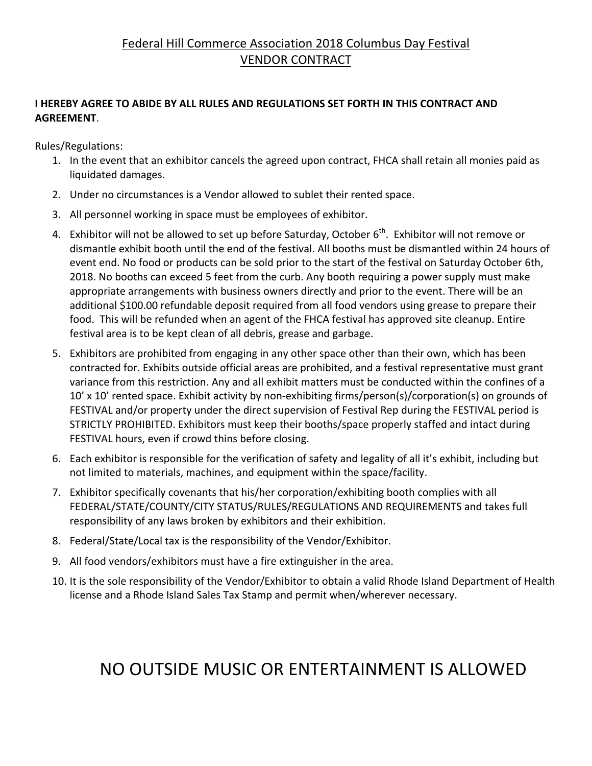#### Federal Hill Commerce Association 2018 Columbus Day Festival **VENDOR CONTRACT**

#### **I HEREBY AGREE TO ABIDE BY ALL RULES AND REGULATIONS SET FORTH IN THIS CONTRACT AND AGREEMENT**.

Rules/Regulations:

- 1. In the event that an exhibitor cancels the agreed upon contract, FHCA shall retain all monies paid as liquidated damages.
- 2. Under no circumstances is a Vendor allowed to sublet their rented space.
- 3. All personnel working in space must be employees of exhibitor.
- 4. Exhibitor will not be allowed to set up before Saturday, October  $6<sup>th</sup>$ . Exhibitor will not remove or dismantle exhibit booth until the end of the festival. All booths must be dismantled within 24 hours of event end. No food or products can be sold prior to the start of the festival on Saturday October 6th, 2018. No booths can exceed 5 feet from the curb. Any booth requiring a power supply must make appropriate arrangements with business owners directly and prior to the event. There will be an additional \$100.00 refundable deposit required from all food vendors using grease to prepare their food. This will be refunded when an agent of the FHCA festival has approved site cleanup. Entire festival area is to be kept clean of all debris, grease and garbage.
- 5. Exhibitors are prohibited from engaging in any other space other than their own, which has been contracted for. Exhibits outside official areas are prohibited, and a festival representative must grant variance from this restriction. Any and all exhibit matters must be conducted within the confines of a 10' x 10' rented space. Exhibit activity by non-exhibiting firms/person(s)/corporation(s) on grounds of FESTIVAL and/or property under the direct supervision of Festival Rep during the FESTIVAL period is STRICTLY PROHIBITED. Exhibitors must keep their booths/space properly staffed and intact during FESTIVAL hours, even if crowd thins before closing.
- 6. Each exhibitor is responsible for the verification of safety and legality of all it's exhibit, including but not limited to materials, machines, and equipment within the space/facility.
- 7. Exhibitor specifically covenants that his/her corporation/exhibiting booth complies with all FEDERAL/STATE/COUNTY/CITY STATUS/RULES/REGULATIONS AND REQUIREMENTS and takes full responsibility of any laws broken by exhibitors and their exhibition.
- 8. Federal/State/Local tax is the responsibility of the Vendor/Exhibitor.
- 9. All food vendors/exhibitors must have a fire extinguisher in the area.
- 10. It is the sole responsibility of the Vendor/Exhibitor to obtain a valid Rhode Island Department of Health license and a Rhode Island Sales Tax Stamp and permit when/wherever necessary.

## NO OUTSIDE MUSIC OR ENTERTAINMENT IS ALLOWED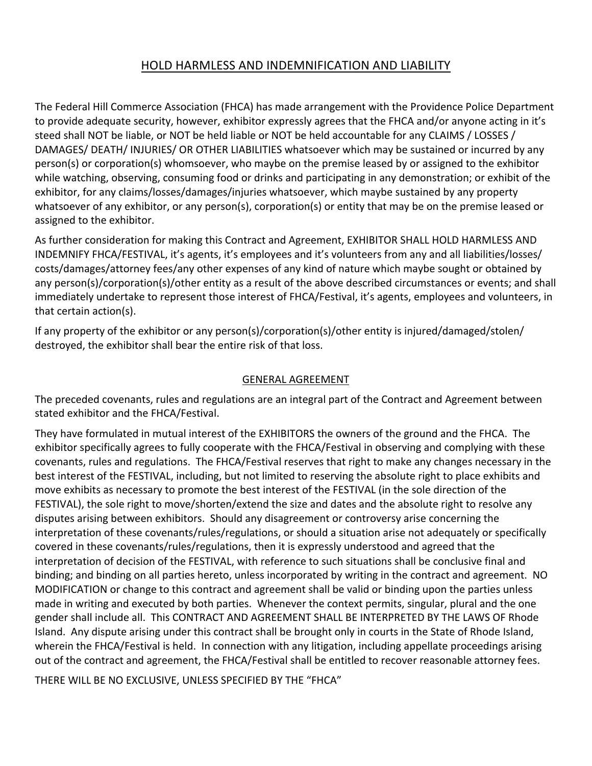#### HOLD HARMLESS AND INDEMNIFICATION AND LIABILITY

The Federal Hill Commerce Association (FHCA) has made arrangement with the Providence Police Department to provide adequate security, however, exhibitor expressly agrees that the FHCA and/or anyone acting in it's steed shall NOT be liable, or NOT be held liable or NOT be held accountable for any CLAIMS / LOSSES / DAMAGES/ DEATH/ INJURIES/ OR OTHER LIABILITIES whatsoever which may be sustained or incurred by any person(s) or corporation(s) whomsoever, who maybe on the premise leased by or assigned to the exhibitor while watching, observing, consuming food or drinks and participating in any demonstration; or exhibit of the exhibitor, for any claims/losses/damages/injuries whatsoever, which maybe sustained by any property whatsoever of any exhibitor, or any person(s), corporation(s) or entity that may be on the premise leased or assigned to the exhibitor.

As further consideration for making this Contract and Agreement, EXHIBITOR SHALL HOLD HARMLESS AND INDEMNIFY FHCA/FESTIVAL, it's agents, it's employees and it's volunteers from any and all liabilities/losses/ costs/damages/attorney fees/any other expenses of any kind of nature which maybe sought or obtained by any person(s)/corporation(s)/other entity as a result of the above described circumstances or events; and shall immediately undertake to represent those interest of FHCA/Festival, it's agents, employees and volunteers, in that certain action(s).

If any property of the exhibitor or any person(s)/corporation(s)/other entity is injured/damaged/stolen/ destroyed, the exhibitor shall bear the entire risk of that loss.

#### GENERAL AGREEMENT

The preceded covenants, rules and regulations are an integral part of the Contract and Agreement between stated exhibitor and the FHCA/Festival.

They have formulated in mutual interest of the EXHIBITORS the owners of the ground and the FHCA. The exhibitor specifically agrees to fully cooperate with the FHCA/Festival in observing and complying with these covenants, rules and regulations. The FHCA/Festival reserves that right to make any changes necessary in the best interest of the FESTIVAL, including, but not limited to reserving the absolute right to place exhibits and move exhibits as necessary to promote the best interest of the FESTIVAL (in the sole direction of the FESTIVAL), the sole right to move/shorten/extend the size and dates and the absolute right to resolve any disputes arising between exhibitors. Should any disagreement or controversy arise concerning the interpretation of these covenants/rules/regulations, or should a situation arise not adequately or specifically covered in these covenants/rules/regulations, then it is expressly understood and agreed that the interpretation of decision of the FESTIVAL, with reference to such situations shall be conclusive final and binding; and binding on all parties hereto, unless incorporated by writing in the contract and agreement. NO MODIFICATION or change to this contract and agreement shall be valid or binding upon the parties unless made in writing and executed by both parties. Whenever the context permits, singular, plural and the one gender shall include all. This CONTRACT AND AGREEMENT SHALL BE INTERPRETED BY THE LAWS OF Rhode Island. Any dispute arising under this contract shall be brought only in courts in the State of Rhode Island, wherein the FHCA/Festival is held. In connection with any litigation, including appellate proceedings arising out of the contract and agreement, the FHCA/Festival shall be entitled to recover reasonable attorney fees.

THERE WILL BE NO EXCLUSIVE, UNLESS SPECIFIED BY THE "FHCA"